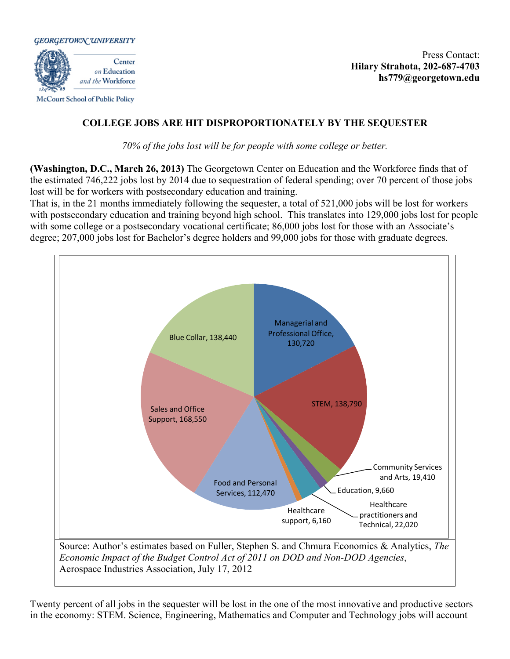

McCourt School of Public Policy

Press Contact: **Hilary Strahota, 202-687-4703 hs779@georgetown.edu**

## **COLLEGE JOBS ARE HIT DISPROPORTIONATELY BY THE SEQUESTER**

*70% of the jobs lost will be for people with some college or better.* 

**(Washington, D.C., March 26, 2013)** The Georgetown Center on Education and the Workforce finds that of the estimated 746,222 jobs lost by 2014 due to sequestration of federal spending; over 70 percent of those jobs lost will be for workers with postsecondary education and training.

That is, in the 21 months immediately following the sequester, a total of 521,000 jobs will be lost for workers with postsecondary education and training beyond high school. This translates into 129,000 jobs lost for people with some college or a postsecondary vocational certificate; 86,000 jobs lost for those with an Associate's degree; 207,000 jobs lost for Bachelor's degree holders and 99,000 jobs for those with graduate degrees.



Twenty percent of all jobs in the sequester will be lost in the one of the most innovative and productive sectors in the economy: STEM. Science, Engineering, Mathematics and Computer and Technology jobs will account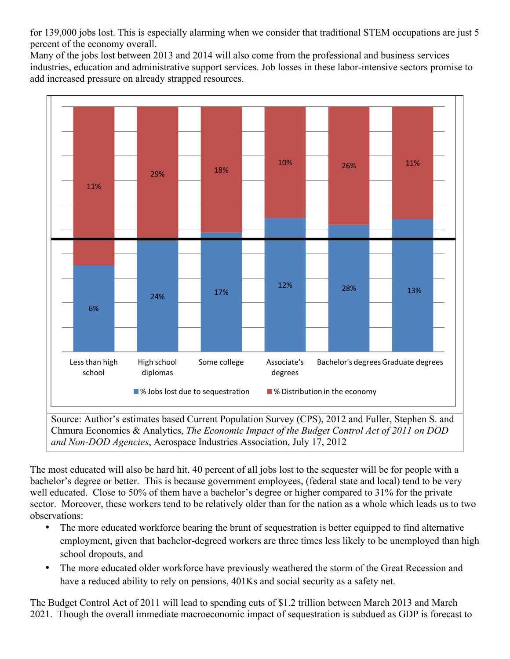for 139,000 jobs lost. This is especially alarming when we consider that traditional STEM occupations are just 5 percent of the economy overall.

Many of the jobs lost between 2013 and 2014 will also come from the professional and business services industries, education and administrative support services. Job losses in these labor-intensive sectors promise to add increased pressure on already strapped resources.



*and Non-DOD Agencies*, Aerospace Industries Association, July 17, 2012

The most educated will also be hard hit. 40 percent of all jobs lost to the sequester will be for people with a bachelor's degree or better. This is because government employees, (federal state and local) tend to be very well educated. Close to 50% of them have a bachelor's degree or higher compared to 31% for the private sector. Moreover, these workers tend to be relatively older than for the nation as a whole which leads us to two observations:

- The more educated workforce bearing the brunt of sequestration is better equipped to find alternative employment, given that bachelor-degreed workers are three times less likely to be unemployed than high school dropouts, and
- The more educated older workforce have previously weathered the storm of the Great Recession and have a reduced ability to rely on pensions, 401Ks and social security as a safety net.

The Budget Control Act of 2011 will lead to spending cuts of \$1.2 trillion between March 2013 and March 2021. Though the overall immediate macroeconomic impact of sequestration is subdued as GDP is forecast to